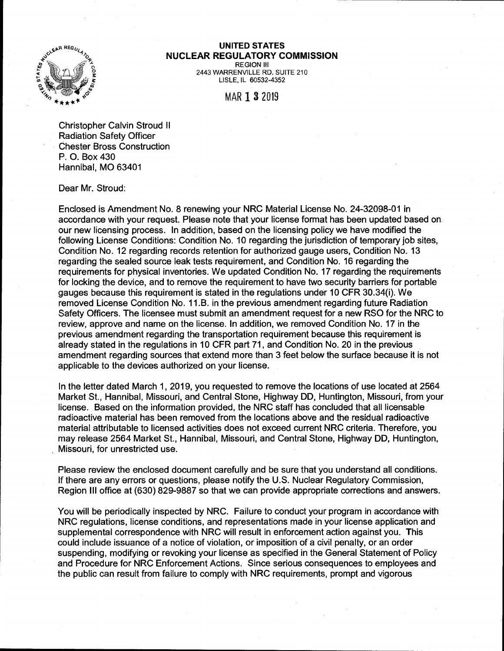

## **UNITED STATES NUCLEAR REGULATORY COMMISSION**  REGION Ill

2443 WARRENVILLE RD. SUITE 210 LISLE, IL 60532-4352

## MAR 13 2019

Christopher Calvin Stroud II Radiation Safety Officer Chester Bross Construction P. 0. Box430 Hannibal, MO 63401

Dear Mr. Stroud:

Enclosed is Amendment No. 8 renewing your NRC Material License No. 24-32098-01 in accordance with your request. Please note that your license format has been updated based on our new licensing process. In addition, based on the licensing policy we have modified the following License Conditions: Condition No. 10 regarding the jurisdiction of temporary job sites, Condition No. 12 regarding records retention for authorized gauge users, Condition No. 13 regarding the sealed source leak tests requirement, and Condition No. 16 regarding the requirements for physical inventories. We updated Condition No. 17 regarding the requirements for locking the device, and to remove the requirement to have two security barriers for portable gauges because this requirement is stated in the regulations under 10 CFR 30.34(i). We removed License Condition No. 11.B. in the previous amendment regarding future Radiation Safety Officers. The licensee must submit an amendment request for a new RSO for the NRC to review, approve and name on the license. In addition, we removed Condition No. 17 in the previous amendment regarding the transportation requirement because this requirement is already stated in the regulations in 10 CFR part 71, and Condition No. 20 in the previous amendment regarding sources that extend more than 3 feet below the surface because it is not applicable to the devices authorized on your license.

In the letter dated March 1, 2019, you requested to remove the locations of use located at 2564 Market St., Hannibal, Missouri, and Central Stone, Highway DD, Huntington, Missouri, from your license. Based on the information provided, the NRC staff has concluded that all licensable radioactive material has been removed from the locations above and the residual radioactive material attributable to licensed activities does not exceed current NRC criteria. Therefore, you may release 2564 Market St., Hannibal, Missouri, and Central Stone, Highway DD, Huntington, , Missouri, for unrestricted use.

Please review the enclosed document carefully and be sure that you understand all conditions. If there are any errors or questions, please notify the U.S. Nuclear Regulatory Commission, Region Ill office at (630) 829-9887 so that we can provide appropriate corrections and answers.

You will be periodically inspected by NRC. Failure to conduct your program in accordance with NRC regulations, license conditions, and representations made in your license application and supplemental correspondence with NRC will result in enforcement action against you. This could include issuance of a notice of violation, or imposition of a civil penalty, or an order suspending, modifying or revoking your license as specified in the General Statement of Policy and Procedure for NRC Enforcement Actions. Since serious consequences to employees and the public can result from failure to comply with NRC requirements, prompt and vigorous